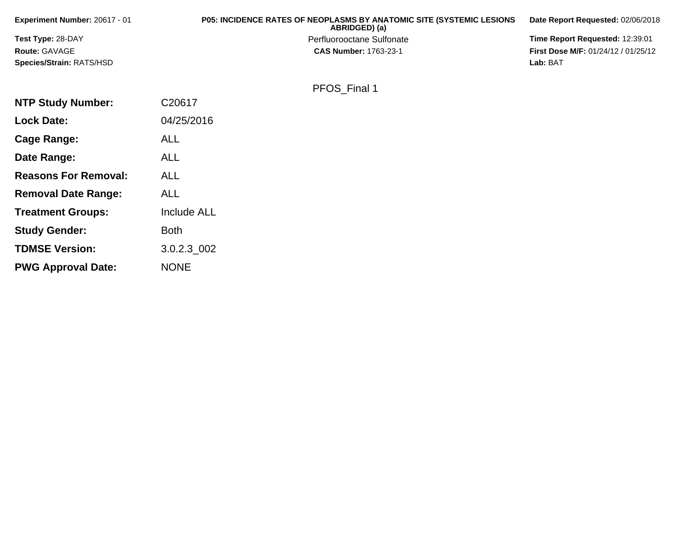| <b>Experiment Number: 20617 - 01</b> | <b>P05: INCIDENCE RATES OF NEOPLASMS BY ANATOMIC SITE (SYSTEMIC LESIONS)</b><br>ABRIDGED) (a) | Date Report Requested: 02/06/2018          |
|--------------------------------------|-----------------------------------------------------------------------------------------------|--------------------------------------------|
| <b>Test Type: 28-DAY</b>             | Perfluorooctane Sulfonate                                                                     | <b>Time Report Requested: 12:39:01</b>     |
| <b>Route: GAVAGE</b>                 | <b>CAS Number: 1763-23-1</b>                                                                  | <b>First Dose M/F: 01/24/12 / 01/25/12</b> |
| <b>Species/Strain: RATS/HSD</b>      |                                                                                               | Lab: BAT                                   |
|                                      |                                                                                               |                                            |

| PFOS Final 1 |  |
|--------------|--|
|--------------|--|

| <b>NTP Study Number:</b>    | C20617             |
|-----------------------------|--------------------|
| <b>Lock Date:</b>           | 04/25/2016         |
| Cage Range:                 | <b>ALL</b>         |
| Date Range:                 | <b>ALL</b>         |
| <b>Reasons For Removal:</b> | <b>ALL</b>         |
| <b>Removal Date Range:</b>  | ALL                |
| <b>Treatment Groups:</b>    | <b>Include ALL</b> |
| <b>Study Gender:</b>        | Both               |
| <b>TDMSE Version:</b>       | 3.0.2.3 002        |
| <b>PWG Approval Date:</b>   | <b>NONE</b>        |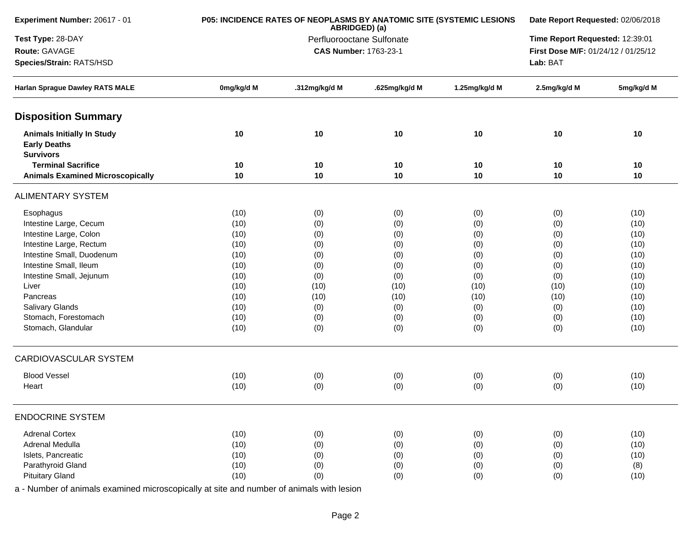| Experiment Number: 20617 - 01                                                | P05: INCIDENCE RATES OF NEOPLASMS BY ANATOMIC SITE (SYSTEMIC LESIONS | Date Report Requested: 02/06/2018          |               |                                 |                                     |            |
|------------------------------------------------------------------------------|----------------------------------------------------------------------|--------------------------------------------|---------------|---------------------------------|-------------------------------------|------------|
| Test Type: 28-DAY                                                            |                                                                      | ABRIDGED) (a)<br>Perfluorooctane Sulfonate |               | Time Report Requested: 12:39:01 |                                     |            |
| Route: GAVAGE                                                                |                                                                      | <b>CAS Number: 1763-23-1</b>               |               |                                 | First Dose M/F: 01/24/12 / 01/25/12 |            |
| Species/Strain: RATS/HSD                                                     |                                                                      |                                            |               |                                 | Lab: BAT                            |            |
| Harlan Sprague Dawley RATS MALE                                              | 0mg/kg/d M                                                           | .312mg/kg/d M                              | .625mg/kg/d M | 1.25mg/kg/d M                   | 2.5mg/kg/d M                        | 5mg/kg/d M |
| <b>Disposition Summary</b>                                                   |                                                                      |                                            |               |                                 |                                     |            |
| <b>Animals Initially In Study</b><br><b>Early Deaths</b><br><b>Survivors</b> | 10                                                                   | 10                                         | 10            | 10                              | 10                                  | 10         |
| <b>Terminal Sacrifice</b>                                                    | 10                                                                   | 10                                         | 10            | 10                              | 10                                  | 10         |
| <b>Animals Examined Microscopically</b>                                      | 10                                                                   | 10                                         | 10            | 10                              | 10                                  | 10         |
| <b>ALIMENTARY SYSTEM</b>                                                     |                                                                      |                                            |               |                                 |                                     |            |
| Esophagus                                                                    | (10)                                                                 | (0)                                        | (0)           | (0)                             | (0)                                 | (10)       |
| Intestine Large, Cecum                                                       | (10)                                                                 | (0)                                        | (0)           | (0)                             | (0)                                 | (10)       |
| Intestine Large, Colon                                                       | (10)                                                                 | (0)                                        | (0)           | (0)                             | (0)                                 | (10)       |
| Intestine Large, Rectum                                                      | (10)                                                                 | (0)                                        | (0)           | (0)                             | (0)                                 | (10)       |
| Intestine Small, Duodenum                                                    | (10)                                                                 | (0)                                        | (0)           | (0)                             | (0)                                 | (10)       |
| Intestine Small, Ileum                                                       | (10)                                                                 | (0)                                        | (0)           | (0)                             | (0)                                 | (10)       |
| Intestine Small, Jejunum                                                     | (10)                                                                 | (0)                                        | (0)           | (0)                             | (0)                                 | (10)       |
| Liver                                                                        | (10)                                                                 | (10)                                       | (10)          | (10)                            | (10)                                | (10)       |
| Pancreas                                                                     | (10)                                                                 | (10)                                       | (10)          | (10)                            | (10)                                | (10)       |
| Salivary Glands                                                              | (10)                                                                 | (0)                                        | (0)           | (0)                             | (0)                                 | (10)       |
| Stomach, Forestomach                                                         | (10)                                                                 | (0)                                        | (0)           | (0)                             | (0)                                 | (10)       |
| Stomach, Glandular                                                           | (10)                                                                 | (0)                                        | (0)           | (0)                             | (0)                                 | (10)       |
| <b>CARDIOVASCULAR SYSTEM</b>                                                 |                                                                      |                                            |               |                                 |                                     |            |
| <b>Blood Vessel</b>                                                          | (10)                                                                 | (0)                                        | (0)           | (0)                             | (0)                                 | (10)       |
| Heart                                                                        | (10)                                                                 | (0)                                        | (0)           | (0)                             | (0)                                 | (10)       |
| <b>ENDOCRINE SYSTEM</b>                                                      |                                                                      |                                            |               |                                 |                                     |            |
| <b>Adrenal Cortex</b>                                                        | (10)                                                                 | (0)                                        | (0)           | (0)                             | (0)                                 | (10)       |
| Adrenal Medulla                                                              | (10)                                                                 | (0)                                        | (0)           | (0)                             | (0)                                 | (10)       |
| Islets, Pancreatic                                                           | (10)                                                                 | (0)                                        | (0)           | (0)                             | (0)                                 | (10)       |
| Parathyroid Gland                                                            | (10)                                                                 | (0)                                        | (0)           | (0)                             | (0)                                 | (8)        |
| <b>Pituitary Gland</b>                                                       | (10)                                                                 | (0)                                        | (0)           | (0)                             | (0)                                 | (10)       |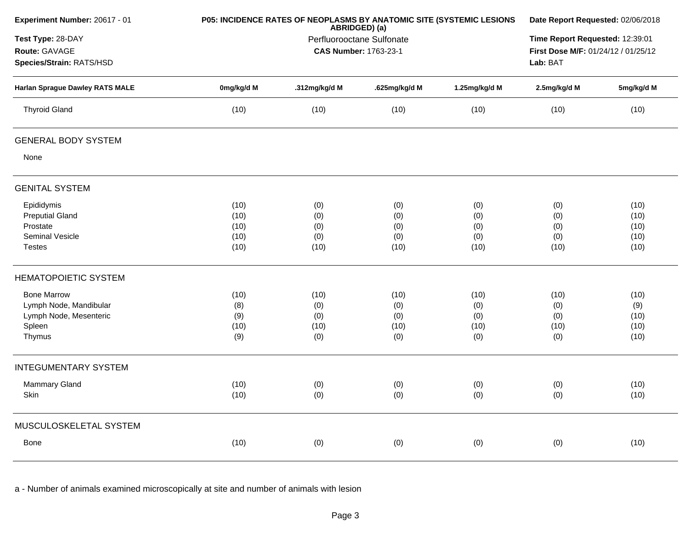| Experiment Number: 20617 - 01                                  | P05: INCIDENCE RATES OF NEOPLASMS BY ANATOMIC SITE (SYSTEMIC LESIONS | Date Report Requested: 02/06/2018                                                  |               |               |              |            |
|----------------------------------------------------------------|----------------------------------------------------------------------|------------------------------------------------------------------------------------|---------------|---------------|--------------|------------|
| Test Type: 28-DAY<br>Route: GAVAGE<br>Species/Strain: RATS/HSD |                                                                      | Time Report Requested: 12:39:01<br>First Dose M/F: 01/24/12 / 01/25/12<br>Lab: BAT |               |               |              |            |
| <b>Harlan Sprague Dawley RATS MALE</b>                         | 0mg/kg/d M                                                           | .312mg/kg/d M                                                                      | .625mg/kg/d M | 1.25mg/kg/d M | 2.5mg/kg/d M | 5mg/kg/d M |
| <b>Thyroid Gland</b>                                           | (10)                                                                 | (10)                                                                               | (10)          | (10)          | (10)         | (10)       |
| <b>GENERAL BODY SYSTEM</b>                                     |                                                                      |                                                                                    |               |               |              |            |
| None                                                           |                                                                      |                                                                                    |               |               |              |            |
| <b>GENITAL SYSTEM</b>                                          |                                                                      |                                                                                    |               |               |              |            |
| Epididymis                                                     | (10)                                                                 | (0)                                                                                | (0)           | (0)           | (0)          | (10)       |
| <b>Preputial Gland</b>                                         | (10)                                                                 | (0)                                                                                | (0)           | (0)           | (0)          | (10)       |
| Prostate                                                       | (10)                                                                 | (0)                                                                                | (0)           | (0)           | (0)          | (10)       |
| Seminal Vesicle                                                | (10)                                                                 | (0)                                                                                | (0)           | (0)           | (0)          | (10)       |
| <b>Testes</b>                                                  | (10)                                                                 | (10)                                                                               | (10)          | (10)          | (10)         | (10)       |
| <b>HEMATOPOIETIC SYSTEM</b>                                    |                                                                      |                                                                                    |               |               |              |            |
| <b>Bone Marrow</b>                                             | (10)                                                                 | (10)                                                                               | (10)          | (10)          | (10)         | (10)       |
| Lymph Node, Mandibular                                         | (8)                                                                  | (0)                                                                                | (0)           | (0)           | (0)          | (9)        |
| Lymph Node, Mesenteric                                         | (9)                                                                  | (0)                                                                                | (0)           | (0)           | (0)          | (10)       |
| Spleen                                                         | (10)                                                                 | (10)                                                                               | (10)          | (10)          | (10)         | (10)       |
| Thymus                                                         | (9)                                                                  | (0)                                                                                | (0)           | (0)           | (0)          | (10)       |
| <b>INTEGUMENTARY SYSTEM</b>                                    |                                                                      |                                                                                    |               |               |              |            |
| <b>Mammary Gland</b>                                           | (10)                                                                 | (0)                                                                                | (0)           | (0)           | (0)          | (10)       |
| Skin                                                           | (10)                                                                 | (0)                                                                                | (0)           | (0)           | (0)          | (10)       |
| MUSCULOSKELETAL SYSTEM                                         |                                                                      |                                                                                    |               |               |              |            |
| Bone                                                           | (10)                                                                 | (0)                                                                                | (0)           | (0)           | (0)          | (10)       |
|                                                                |                                                                      |                                                                                    |               |               |              |            |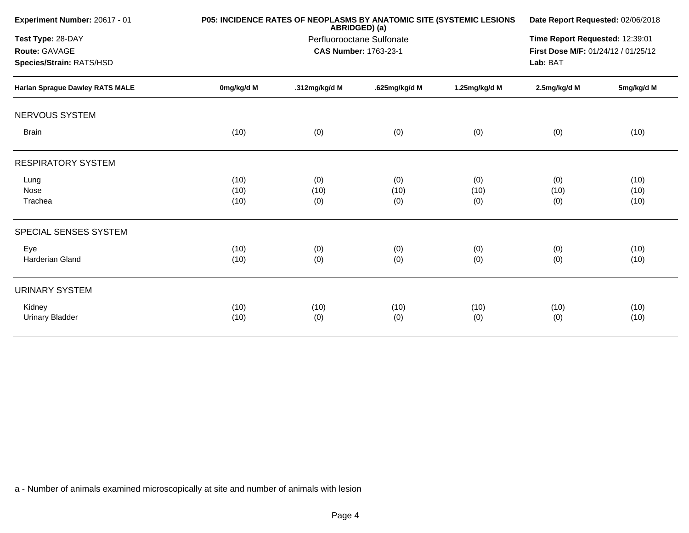| Experiment Number: 20617 - 01                                  |            | P05: INCIDENCE RATES OF NEOPLASMS BY ANATOMIC SITE (SYSTEMIC LESIONS<br>ABRIDGED) (a) |               |               |              |            |
|----------------------------------------------------------------|------------|---------------------------------------------------------------------------------------|---------------|---------------|--------------|------------|
| Test Type: 28-DAY<br>Route: GAVAGE<br>Species/Strain: RATS/HSD |            | Time Report Requested: 12:39:01<br>First Dose M/F: 01/24/12 / 01/25/12<br>Lab: BAT    |               |               |              |            |
| <b>Harlan Sprague Dawley RATS MALE</b>                         | 0mg/kg/d M | .312mg/kg/d M                                                                         | .625mg/kg/d M | 1.25mg/kg/d M | 2.5mg/kg/d M | 5mg/kg/d M |
| <b>NERVOUS SYSTEM</b>                                          |            |                                                                                       |               |               |              |            |
| <b>Brain</b>                                                   | (10)       | (0)                                                                                   | (0)           | (0)           | (0)          | (10)       |
| <b>RESPIRATORY SYSTEM</b>                                      |            |                                                                                       |               |               |              |            |
| Lung                                                           | (10)       | (0)                                                                                   | (0)           | (0)           | (0)          | (10)       |
| Nose                                                           | (10)       | (10)                                                                                  | (10)          | (10)          | (10)         | (10)       |
| Trachea                                                        | (10)       | (0)                                                                                   | (0)           | (0)           | (0)          | (10)       |
| SPECIAL SENSES SYSTEM                                          |            |                                                                                       |               |               |              |            |
| Eye                                                            | (10)       | (0)                                                                                   | (0)           | (0)           | (0)          | (10)       |
| <b>Harderian Gland</b>                                         | (10)       | (0)                                                                                   | (0)           | (0)           | (0)          | (10)       |
| <b>URINARY SYSTEM</b>                                          |            |                                                                                       |               |               |              |            |
| Kidney                                                         | (10)       | (10)                                                                                  | (10)          | (10)          | (10)         | (10)       |
| <b>Urinary Bladder</b>                                         | (10)       | (0)                                                                                   | (0)           | (0)           | (0)          | (10)       |
|                                                                |            |                                                                                       |               |               |              |            |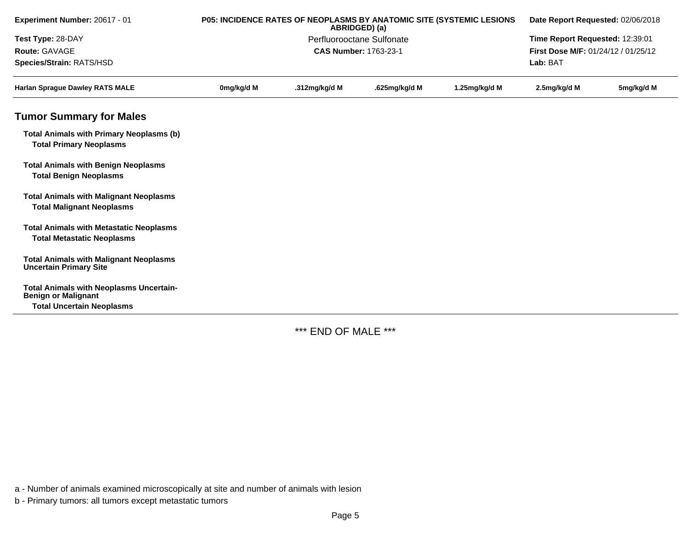| Experiment Number: 20617 - 01                                                       | P05: INCIDENCE RATES OF NEOPLASMS BY ANATOMIC SITE (SYSTEMIC LESIONS<br>ABRIDGED) (a)<br>Perfluorooctane Sulfonate |                              |               |               | Date Report Requested: 02/06/2018<br>Time Report Requested: 12:39:01 |            |  |
|-------------------------------------------------------------------------------------|--------------------------------------------------------------------------------------------------------------------|------------------------------|---------------|---------------|----------------------------------------------------------------------|------------|--|
| Test Type: 28-DAY                                                                   |                                                                                                                    |                              |               |               |                                                                      |            |  |
| Route: GAVAGE                                                                       |                                                                                                                    | <b>CAS Number: 1763-23-1</b> |               |               | First Dose M/F: 01/24/12 / 01/25/12                                  |            |  |
| Species/Strain: RATS/HSD                                                            |                                                                                                                    |                              |               |               | Lab: BAT                                                             |            |  |
| <b>Harlan Sprague Dawley RATS MALE</b>                                              | 0mg/kg/d M                                                                                                         | .312mg/kg/d M                | .625mg/kg/d M | 1.25mg/kg/d M | 2.5mg/kg/d M                                                         | 5mg/kg/d M |  |
| <b>Tumor Summary for Males</b>                                                      |                                                                                                                    |                              |               |               |                                                                      |            |  |
| <b>Total Animals with Primary Neoplasms (b)</b><br><b>Total Primary Neoplasms</b>   |                                                                                                                    |                              |               |               |                                                                      |            |  |
| <b>Total Animals with Benign Neoplasms</b><br><b>Total Benign Neoplasms</b>         |                                                                                                                    |                              |               |               |                                                                      |            |  |
| <b>Total Animals with Malignant Neoplasms</b><br><b>Total Malignant Neoplasms</b>   |                                                                                                                    |                              |               |               |                                                                      |            |  |
| <b>Total Animals with Metastatic Neoplasms</b><br><b>Total Metastatic Neoplasms</b> |                                                                                                                    |                              |               |               |                                                                      |            |  |
| <b>Total Animals with Malignant Neoplasms</b><br><b>Uncertain Primary Site</b>      |                                                                                                                    |                              |               |               |                                                                      |            |  |
| <b>Total Animals with Neoplasms Uncertain-</b><br><b>Benign or Malignant</b>        |                                                                                                                    |                              |               |               |                                                                      |            |  |
| <b>Total Uncertain Neoplasms</b>                                                    |                                                                                                                    |                              |               |               |                                                                      |            |  |

\*\*\* END OF MALE \*\*\*

a - Number of animals examined microscopically at site and number of animals with lesion

b - Primary tumors: all tumors except metastatic tumors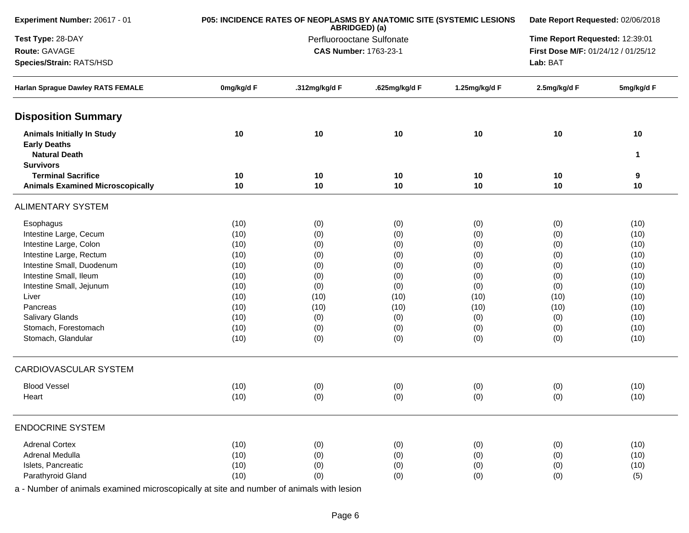| Experiment Number: 20617 - 01                                                                        | P05: INCIDENCE RATES OF NEOPLASMS BY ANATOMIC SITE (SYSTEMIC LESIONS | Date Report Requested: 02/06/2018 |                                            |               |                                     |            |  |  |
|------------------------------------------------------------------------------------------------------|----------------------------------------------------------------------|-----------------------------------|--------------------------------------------|---------------|-------------------------------------|------------|--|--|
| Test Type: 28-DAY                                                                                    |                                                                      |                                   | ABRIDGED) (a)<br>Perfluorooctane Sulfonate |               | Time Report Requested: 12:39:01     |            |  |  |
| Route: GAVAGE                                                                                        |                                                                      |                                   | <b>CAS Number: 1763-23-1</b>               |               | First Dose M/F: 01/24/12 / 01/25/12 |            |  |  |
| Species/Strain: RATS/HSD                                                                             |                                                                      |                                   |                                            |               | Lab: BAT                            |            |  |  |
| <b>Harlan Sprague Dawley RATS FEMALE</b>                                                             | 0mg/kg/d F                                                           | .312mg/kg/d F                     | .625mg/kg/d F                              | 1.25mg/kg/d F | 2.5mg/kg/d F                        | 5mg/kg/d F |  |  |
| <b>Disposition Summary</b>                                                                           |                                                                      |                                   |                                            |               |                                     |            |  |  |
| <b>Animals Initially In Study</b><br><b>Early Deaths</b><br><b>Natural Death</b><br><b>Survivors</b> | 10                                                                   | 10                                | 10                                         | 10            | 10                                  | 10<br>1    |  |  |
| <b>Terminal Sacrifice</b>                                                                            | 10                                                                   | 10                                | 10                                         | 10            | 10                                  |            |  |  |
| <b>Animals Examined Microscopically</b>                                                              | 10                                                                   | 10                                | 10                                         | 10            | 10                                  | 9<br>10    |  |  |
| <b>ALIMENTARY SYSTEM</b>                                                                             |                                                                      |                                   |                                            |               |                                     |            |  |  |
| Esophagus                                                                                            | (10)                                                                 | (0)                               | (0)                                        | (0)           | (0)                                 | (10)       |  |  |
| Intestine Large, Cecum                                                                               | (10)                                                                 | (0)                               | (0)                                        | (0)           | (0)                                 | (10)       |  |  |
| Intestine Large, Colon                                                                               | (10)                                                                 | (0)                               | (0)                                        | (0)           | (0)                                 | (10)       |  |  |
| Intestine Large, Rectum                                                                              | (10)                                                                 | (0)                               | (0)                                        | (0)           | (0)                                 | (10)       |  |  |
| Intestine Small, Duodenum                                                                            | (10)                                                                 | (0)                               | (0)                                        | (0)           | (0)                                 | (10)       |  |  |
| Intestine Small, Ileum                                                                               | (10)                                                                 | (0)                               | (0)                                        | (0)           | (0)                                 | (10)       |  |  |
| Intestine Small, Jejunum                                                                             | (10)                                                                 | (0)                               | (0)                                        | (0)           | (0)                                 | (10)       |  |  |
| Liver                                                                                                | (10)                                                                 | (10)                              | (10)                                       | (10)          | (10)                                | (10)       |  |  |
| Pancreas                                                                                             | (10)                                                                 | (10)                              | (10)                                       | (10)          | (10)                                | (10)       |  |  |
| Salivary Glands                                                                                      | (10)                                                                 | (0)                               | (0)                                        | (0)           | (0)                                 | (10)       |  |  |
| Stomach, Forestomach                                                                                 | (10)                                                                 | (0)                               | (0)                                        | (0)           | (0)                                 | (10)       |  |  |
| Stomach, Glandular                                                                                   | (10)                                                                 | (0)                               | (0)                                        | (0)           | (0)                                 | (10)       |  |  |
| CARDIOVASCULAR SYSTEM                                                                                |                                                                      |                                   |                                            |               |                                     |            |  |  |
| <b>Blood Vessel</b>                                                                                  | (10)                                                                 | (0)                               | (0)                                        | (0)           | (0)                                 | (10)       |  |  |
| Heart                                                                                                | (10)                                                                 | (0)                               | (0)                                        | (0)           | (0)                                 | (10)       |  |  |
| <b>ENDOCRINE SYSTEM</b>                                                                              |                                                                      |                                   |                                            |               |                                     |            |  |  |
| <b>Adrenal Cortex</b>                                                                                | (10)                                                                 | (0)                               | (0)                                        | (0)           | (0)                                 | (10)       |  |  |
| Adrenal Medulla                                                                                      | (10)                                                                 | (0)                               | (0)                                        | (0)           | (0)                                 | (10)       |  |  |
| Islets, Pancreatic                                                                                   | (10)                                                                 | (0)                               | (0)                                        | (0)           | (0)                                 | (10)       |  |  |
| Parathyroid Gland                                                                                    | (10)                                                                 | (0)                               | (0)                                        | (0)           | (0)                                 | (5)        |  |  |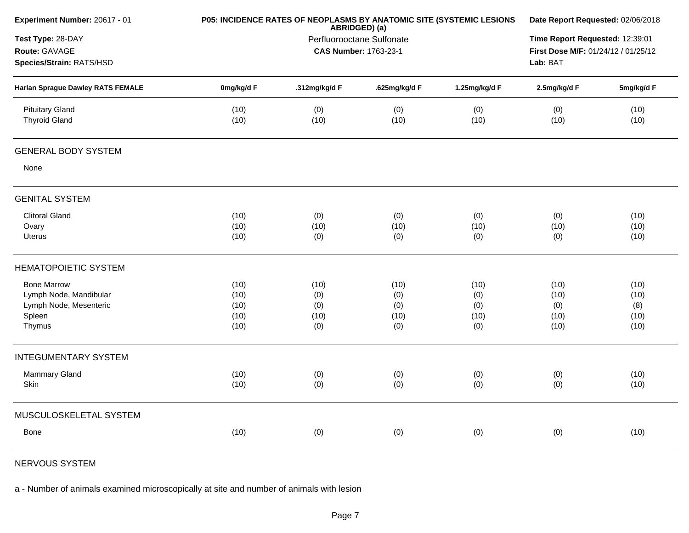| Experiment Number: 20617 - 01                                  | P05: INCIDENCE RATES OF NEOPLASMS BY ANATOMIC SITE (SYSTEMIC LESIONS | Date Report Requested: 02/06/2018                                   |               |               |              |              |
|----------------------------------------------------------------|----------------------------------------------------------------------|---------------------------------------------------------------------|---------------|---------------|--------------|--------------|
| Test Type: 28-DAY<br>Route: GAVAGE<br>Species/Strain: RATS/HSD |                                                                      | ABRIDGED) (a)<br>Perfluorooctane Sulfonate<br>CAS Number: 1763-23-1 |               |               |              |              |
| <b>Harlan Sprague Dawley RATS FEMALE</b>                       | 0mg/kg/d F                                                           | .312mg/kg/d F                                                       | .625mg/kg/d F | 1.25mg/kg/d F | 2.5mg/kg/d F | 5mg/kg/d F   |
| <b>Pituitary Gland</b><br><b>Thyroid Gland</b>                 | (10)<br>(10)                                                         | (0)<br>(10)                                                         | (0)<br>(10)   | (0)<br>(10)   | (0)<br>(10)  | (10)<br>(10) |
| <b>GENERAL BODY SYSTEM</b>                                     |                                                                      |                                                                     |               |               |              |              |
| None                                                           |                                                                      |                                                                     |               |               |              |              |
| <b>GENITAL SYSTEM</b>                                          |                                                                      |                                                                     |               |               |              |              |
| <b>Clitoral Gland</b>                                          | (10)                                                                 | (0)                                                                 | (0)           | (0)           | (0)          | (10)         |
| Ovary                                                          | (10)                                                                 | (10)                                                                | (10)          | (10)          | (10)         | (10)         |
| <b>Uterus</b>                                                  | (10)                                                                 | (0)                                                                 | (0)           | (0)           | (0)          | (10)         |
| <b>HEMATOPOIETIC SYSTEM</b>                                    |                                                                      |                                                                     |               |               |              |              |
| <b>Bone Marrow</b>                                             | (10)                                                                 | (10)                                                                | (10)          | (10)          | (10)         | (10)         |
| Lymph Node, Mandibular                                         | (10)                                                                 | (0)                                                                 | (0)           | (0)           | (10)         | (10)         |
| Lymph Node, Mesenteric                                         | (10)                                                                 | (0)                                                                 | (0)           | (0)           | (0)          | (8)          |
| Spleen                                                         | (10)                                                                 | (10)                                                                | (10)          | (10)          | (10)         | (10)         |
| Thymus                                                         | (10)                                                                 | (0)                                                                 | (0)           | (0)           | (10)         | (10)         |
| <b>INTEGUMENTARY SYSTEM</b>                                    |                                                                      |                                                                     |               |               |              |              |
| Mammary Gland                                                  | (10)                                                                 | (0)                                                                 | (0)           | (0)           | (0)          | (10)         |
| Skin                                                           | (10)                                                                 | (0)                                                                 | (0)           | (0)           | (0)          | (10)         |
| MUSCULOSKELETAL SYSTEM                                         |                                                                      |                                                                     |               |               |              |              |
| Bone                                                           | (10)                                                                 | (0)                                                                 | (0)           | (0)           | (0)          | (10)         |
|                                                                |                                                                      |                                                                     |               |               |              |              |

NERVOUS SYSTEM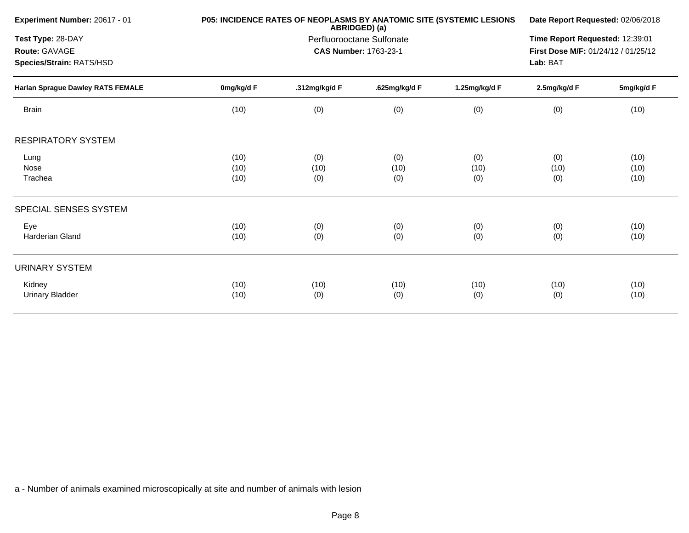| Experiment Number: 20617 - 01     |            | P05: INCIDENCE RATES OF NEOPLASMS BY ANATOMIC SITE (SYSTEMIC LESIONS<br>ABRIDGED) (a) |                              |               |                                     |            |  |
|-----------------------------------|------------|---------------------------------------------------------------------------------------|------------------------------|---------------|-------------------------------------|------------|--|
| Test Type: 28-DAY                 |            |                                                                                       | Perfluorooctane Sulfonate    |               | Time Report Requested: 12:39:01     |            |  |
| Route: GAVAGE                     |            |                                                                                       | <b>CAS Number: 1763-23-1</b> |               | First Dose M/F: 01/24/12 / 01/25/12 |            |  |
| Species/Strain: RATS/HSD          |            |                                                                                       |                              |               | Lab: BAT                            |            |  |
| Harlan Sprague Dawley RATS FEMALE | 0mg/kg/d F | .312mg/kg/d F                                                                         | .625mg/kg/d F                | 1.25mg/kg/d F | 2.5mg/kg/d F                        | 5mg/kg/d F |  |
| <b>Brain</b>                      | (10)       | (0)                                                                                   | (0)                          | (0)           | (0)                                 | (10)       |  |
| <b>RESPIRATORY SYSTEM</b>         |            |                                                                                       |                              |               |                                     |            |  |
| Lung                              | (10)       | (0)                                                                                   | (0)                          | (0)           | (0)                                 | (10)       |  |
| Nose                              | (10)       | (10)                                                                                  | (10)                         | (10)          | (10)                                | (10)       |  |
| Trachea                           | (10)       | (0)                                                                                   | (0)                          | (0)           | (0)                                 | (10)       |  |
| SPECIAL SENSES SYSTEM             |            |                                                                                       |                              |               |                                     |            |  |
| Eye                               | (10)       | (0)                                                                                   | (0)                          | (0)           | (0)                                 | (10)       |  |
| Harderian Gland                   | (10)       | (0)                                                                                   | (0)                          | (0)           | (0)                                 | (10)       |  |
| <b>URINARY SYSTEM</b>             |            |                                                                                       |                              |               |                                     |            |  |
| Kidney                            | (10)       | (10)                                                                                  | (10)                         | (10)          | (10)                                | (10)       |  |
| <b>Urinary Bladder</b>            | (10)       | (0)                                                                                   | (0)                          | (0)           | (0)                                 | (10)       |  |
|                                   |            |                                                                                       |                              |               |                                     |            |  |